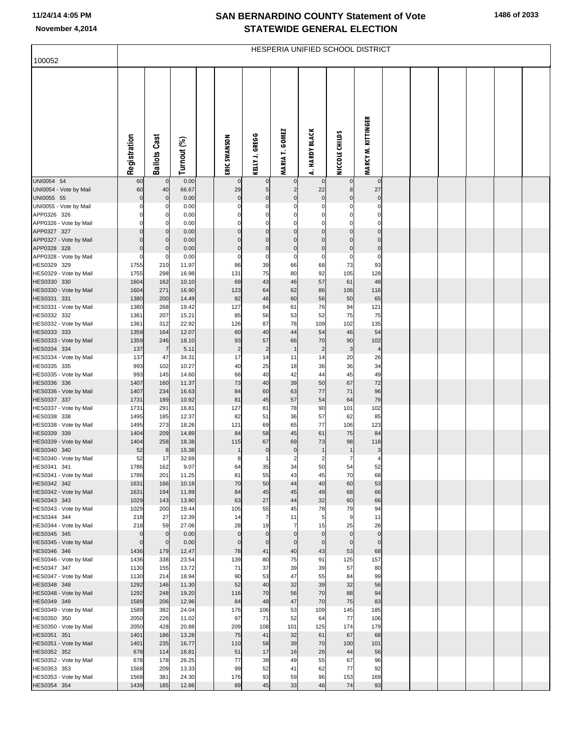## **SAN BERNARDINO COUNTY Statement of Vote November 4,2014 STATEWIDE GENERAL ELECTION**

|                                       | HESPERIA UNIFIED SCHOOL DISTRICT |                     |                |  |                   |                    |                       |                         |                         |                         |  |  |  |  |  |
|---------------------------------------|----------------------------------|---------------------|----------------|--|-------------------|--------------------|-----------------------|-------------------------|-------------------------|-------------------------|--|--|--|--|--|
| 100052                                |                                  |                     |                |  |                   |                    |                       |                         |                         |                         |  |  |  |  |  |
|                                       | Registration                     | <b>Ballots Cast</b> | Turnout (%)    |  | ERIC SWANSON      | KELLY J. GREGG     | <b>MARIA T. GOMEZ</b> | A. HARDY BLACK          | NICCOLE CHILDS          | MARCY M. KITTINGER      |  |  |  |  |  |
| UNI0054 54                            | 60                               |                     | 0.00           |  | 0                 | $\mathbf 0$        |                       | $\mathbf 0$             | $\mathbf 0$             | $\mathbf 0$             |  |  |  |  |  |
| UNI0054 - Vote by Mail<br>UNI0055 55  | 60<br>$\mathbf 0$                | 40<br>$\mathbf 0$   | 66.67<br>0.00  |  | 29<br>$\pmb{0}$   | 5<br>$\mathbf 0$   | C                     | 22<br>$\pmb{0}$         | 8<br>$\mathbf 0$        | 27<br>$\mathbf 0$       |  |  |  |  |  |
| UNI0055 - Vote by Mail                | 0                                |                     | 0.00           |  | 0                 | $\Omega$           | C                     | $\Omega$                | $\Omega$                | 0                       |  |  |  |  |  |
| APP0326 326                           |                                  |                     | 0.00           |  | 0                 | $\Omega$           |                       | 0                       | 0                       |                         |  |  |  |  |  |
| APP0326 - Vote by Mail                | $\Omega$                         |                     | 0.00           |  | $\Omega$          | $\mathbf 0$        | C                     | $\Omega$                | $\mathbf 0$             | $\Omega$                |  |  |  |  |  |
| APP0327 327<br>APP0327 - Vote by Mail | $\Omega$                         |                     | 0.00<br>0.00   |  | $\mathbf 0$       | 0<br>$\Omega$      | C<br>$\mathcal{C}$    | $\mathbf 0$<br>$\Omega$ | $\mathbf 0$<br>$\Omega$ | $\mathbf 0$<br>$\Omega$ |  |  |  |  |  |
| APP0328 328                           | $\Omega$                         |                     | 0.00           |  | $\mathbf 0$       | $\mathbf 0$        | C                     | $\mathbf 0$             | $\mathbf 0$             | $\mathbf 0$             |  |  |  |  |  |
| APP0328 - Vote by Mail                | $\Omega$                         | 0                   | 0.00           |  | 0                 | 0                  | C                     | 0                       | 0                       | $\mathbf 0$             |  |  |  |  |  |
| HES0329 329                           | 1755                             | 210                 | 11.97          |  | 86                | 39                 | 66                    | 68                      | 73                      | 93                      |  |  |  |  |  |
| HES0329 - Vote by Mail                | 1755                             | 298                 | 16.98          |  | 131               | 75                 | 80                    | 92                      | 105                     | 128                     |  |  |  |  |  |
| HES0330 330<br>HES0330 - Vote by Mail | 1604<br>1604                     | 162<br>271          | 10.10<br>16.90 |  | 69<br>123         | 43<br>64           | 46<br>62              | 57<br>86                | 61<br>106               | 48<br>116               |  |  |  |  |  |
| HES0331 331                           | 1380                             | 200                 | 14.49          |  | 82                | 46                 | 60                    | 56                      | 50                      | 65                      |  |  |  |  |  |
| HES0331 - Vote by Mail                | 1380                             | 268                 | 19.42          |  | 127               | 84                 | 61                    | 76                      | 94                      | 121                     |  |  |  |  |  |
| HES0332 332                           | 1361                             | 207                 | 15.21          |  | 85                | 56                 | 53                    | 52                      | 75                      | 75                      |  |  |  |  |  |
| HES0332 - Vote by Mail<br>HES0333 333 | 1361<br>1359                     | 312<br>164          | 22.92<br>12.07 |  | 126<br>60         | 87<br>40           | 78<br>44              | 109<br>54               | 102<br>46               | 135<br>54               |  |  |  |  |  |
| HES0333 - Vote by Mail                | 1359                             | 246                 | 18.10          |  | 93                | 57                 | 66                    | 70                      | 90                      | 102                     |  |  |  |  |  |
| HES0334 334                           | 137                              | $\overline{7}$      | 5.11           |  | $\overline{c}$    | $\overline{c}$     | $\mathbf{1}$          | $\overline{2}$          | 3                       | $\overline{4}$          |  |  |  |  |  |
| HES0334 - Vote by Mail                | 137                              | 47                  | 34.31          |  | 17                | 14                 | 11                    | 14                      | 20                      | 26                      |  |  |  |  |  |
| HES0335 335                           | 993                              | 102                 | 10.27          |  | 40                | 25                 | 18                    | 36                      | 36                      | 34                      |  |  |  |  |  |
| HES0335 - Vote by Mail<br>HES0336 336 | 993<br>1407                      | 145<br>160          | 14.60<br>11.37 |  | 66<br>73          | 40<br>40           | 42<br>39              | 44<br>50                | 45<br>67                | 49<br>72                |  |  |  |  |  |
| HES0336 - Vote by Mail                | 1407                             | 234                 | 16.63          |  | 84                | 60                 | 63                    | $77$                    | 71                      | 96                      |  |  |  |  |  |
| HES0337 337                           | 1731                             | 189                 | 10.92          |  | 81                | $45\,$             | 57                    | 54                      | 64                      | 79                      |  |  |  |  |  |
| HES0337 - Vote by Mail                | 1731                             | 291                 | 16.81          |  | 127               | 81                 | 78                    | 90                      | 101                     | 102                     |  |  |  |  |  |
| HES0338 338<br>HES0338 - Vote by Mail | 1495<br>1495                     | 185<br>273          | 12.37<br>18.26 |  | 82<br>121         | 51<br>69           | 36<br>65              | 57<br>77                | 62<br>106               | 85<br>123               |  |  |  |  |  |
| HES0339 339                           | 1404                             | 209                 | 14.89          |  | 84                | 58                 | 45                    | 61                      | 75                      | 84                      |  |  |  |  |  |
| HES0339 - Vote by Mail                | 1404                             | 258                 | 18.38          |  | 115               | 67                 | 69                    | 73                      | 98                      | 118                     |  |  |  |  |  |
| HES0340 340                           | 52                               | 8                   | 15.38          |  | $\mathbf{1}$      | $\pmb{0}$          | $\pmb{0}$             | $\mathbf{1}$            | $\mathbf{1}$            | 3                       |  |  |  |  |  |
| HES0340 - Vote by Mail<br>HES0341 341 | 52<br>1786                       | 17<br>162           | 32.69<br>9.07  |  | 8<br>64           | $\mathbf{1}$<br>35 | $\overline{2}$<br>34  | $\overline{2}$<br>50    | $\overline{7}$<br>54    | 4<br>52                 |  |  |  |  |  |
| HES0341 - Vote by Mail                | 1786                             | 201                 | 11.25          |  | 81                | 55                 | 43                    | 45                      | 70                      | 68                      |  |  |  |  |  |
| HES0342 342                           | 1631                             | 166                 | 10.18          |  | 70                | 50                 | 44                    | 40                      | 60                      | 53                      |  |  |  |  |  |
| HES0342 - Vote by Mail                | 1631                             | 194                 | 11.89          |  | 84                | 45                 | 45                    | 49                      | 68                      | 66                      |  |  |  |  |  |
| HES0343 343<br>HES0343 - Vote by Mail | 1029<br>1029                     | 143<br>200          | 13.90<br>19.44 |  | 63<br>105         | 27<br>55           | 44<br>45              | 32<br>78                | 60<br>79                | 66<br>94                |  |  |  |  |  |
| HES0344 344                           | 218                              | 27                  | 12.39          |  | 14                | $\overline{7}$     | 11                    | 5                       | 9                       | 11                      |  |  |  |  |  |
| HES0344 - Vote by Mail                | 218                              | 59                  | 27.06          |  | 28                | 19                 | $\overline{7}$        | 15                      | 25                      | 26                      |  |  |  |  |  |
| HES0345 345                           | $\pmb{0}$                        | $\mathbf 0$         | 0.00           |  | $\mathbf 0$       | $\mathbf 0$        | $\mathbf 0$           | $\mathbf 0$             | $\overline{0}$          | $\mathbf 0$             |  |  |  |  |  |
| HES0345 - Vote by Mail<br>HES0346 346 | $\mathbf 0$<br>1436              | $\mathbf 0$<br>179  | 0.00<br>12.47  |  | $\mathbf 0$<br>78 | $\mathbf 0$<br>41  | $\mathbf 0$<br>40     | $\mathbf 0$<br>43       | $\overline{0}$<br>53    | $\mathbf 0$<br>68       |  |  |  |  |  |
| HES0346 - Vote by Mail                | 1436                             | 338                 | 23.54          |  | 139               | 80                 | 75                    | 91                      | 125                     | 157                     |  |  |  |  |  |
| HES0347 347                           | 1130                             | 155                 | 13.72          |  | 71                | 37                 | 39                    | 39                      | 57                      | 80                      |  |  |  |  |  |
| HES0347 - Vote by Mail                | 1130                             | 214                 | 18.94          |  | 90                | 53                 | 47                    | 55                      | 84                      | 99                      |  |  |  |  |  |
| HES0348 348                           | 1292                             | 146                 | 11.30          |  | 52                | 40                 | 32                    | 39                      | 32                      | 56                      |  |  |  |  |  |
| HES0348 - Vote by Mail<br>HES0349 349 | 1292<br>1589                     | 248<br>206          | 19.20<br>12.96 |  | 116<br>84         | 70<br>48           | 56<br>47              | 70<br>70                | 88<br>75                | 94<br>83                |  |  |  |  |  |
| HES0349 - Vote by Mail                | 1589                             | 382                 | 24.04          |  | 176               | 106                | 53                    | 109                     | 145                     | 185                     |  |  |  |  |  |
| HES0350 350                           | 2050                             | 226                 | 11.02          |  | 97                | 71                 | 52                    | 64                      | 77                      | 106                     |  |  |  |  |  |
| HES0350 - Vote by Mail                | 2050                             | 428                 | 20.88          |  | 209               | 108                | 101                   | 125                     | 174                     | 179                     |  |  |  |  |  |
| HES0351 351                           | 1401<br>1401                     | 186<br>235          | 13.28<br>16.77 |  | 75<br>110         | 41<br>58           | 32<br>39              | 61<br>70                | 67<br>100               | 68<br>101               |  |  |  |  |  |
| HES0351 - Vote by Mail<br>HES0352 352 | 678                              | 114                 | 16.81          |  | 51                | 17                 | 16                    | 26                      | 44                      | 56                      |  |  |  |  |  |
| HES0352 - Vote by Mail                | 678                              | 178                 | 26.25          |  | 77                | 39                 | 49                    | 55                      | 67                      | 96                      |  |  |  |  |  |
| HES0353 353                           | 1568                             | 209                 | 13.33          |  | 99                | 52                 | 41                    | 62                      | 77                      | 92                      |  |  |  |  |  |
| HES0353 - Vote by Mail                | 1568                             | 381                 | 24.30          |  | 176               | 93                 | 59                    | 96                      | 153                     | 169                     |  |  |  |  |  |
| HES0354 354                           | 1439                             | 185                 | 12.86          |  | 89                | 45                 | 33                    | 46                      | 74                      | 93                      |  |  |  |  |  |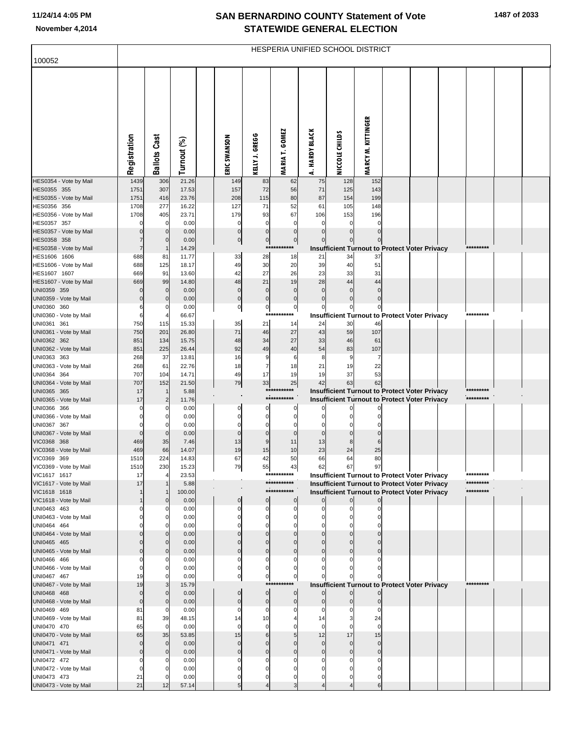## **SAN BERNARDINO COUNTY Statement of Vote November 4,2014 STATEWIDE GENERAL ELECTION**

| 100052                                 | HESPERIA UNIFIED SCHOOL DISTRICT |                     |                |  |                            |                               |                               |                             |                             |                                                                                                       |  |  |                        |  |
|----------------------------------------|----------------------------------|---------------------|----------------|--|----------------------------|-------------------------------|-------------------------------|-----------------------------|-----------------------------|-------------------------------------------------------------------------------------------------------|--|--|------------------------|--|
|                                        |                                  |                     |                |  |                            |                               |                               |                             |                             |                                                                                                       |  |  |                        |  |
|                                        | Registration                     | <b>Ballots Cast</b> | Turnout (%)    |  | ERIC SWANSON               | KELLY J. GREGG                | <b>MARIA T. GOMEZ</b>         | <b>HARDY BLACK</b><br>4     | NICCOLE CHILDS              | <b>MARCY M. KITTINGER</b>                                                                             |  |  |                        |  |
| HES0354 - Vote by Mail                 | 1439                             | 306                 | 21.26          |  | 149                        | 83                            | 62                            | 75                          | 128                         | 152                                                                                                   |  |  |                        |  |
| HES0355 355                            | 1751                             | 307                 | 17.53          |  | 157                        | 72                            | 56                            | 71                          | 125                         | 143                                                                                                   |  |  |                        |  |
| HES0355 - Vote by Mail<br>HES0356 356  | 1751<br>1708                     | 416<br>277          | 23.76<br>16.22 |  | 208<br>127                 | 115<br>71                     | 80<br>52                      | 87<br>61                    | 154<br>105                  | 199<br>148                                                                                            |  |  |                        |  |
| HES0356 - Vote by Mail                 | 1708                             | 405                 | 23.71          |  | 179                        | 93                            | 67                            | 106                         | 153                         | 196                                                                                                   |  |  |                        |  |
| HES0357 357                            | $\mathcal{C}$                    | 0                   | 0.00           |  | $\Omega$                   | $\mathbf 0$                   | $\mathbf 0$                   | $\mathbf 0$                 | $\mathbf 0$                 | $\mathbf 0$                                                                                           |  |  |                        |  |
| HES0357 - Vote by Mail                 | C                                | $\mathbf 0$         | 0.00           |  | $\mathbf 0$                | $\mathbf 0$                   | $\mathbf 0$                   | $\mathbf 0$                 | $\overline{0}$              | $\Omega$                                                                                              |  |  |                        |  |
| HES0358 358                            |                                  | $\Omega$            | 0.00           |  | $\mathbf 0$                | $\overline{0}$                | $\overline{0}$<br>*********** | $\Omega$                    | $\overline{0}$              | 이                                                                                                     |  |  | *********              |  |
| HES0358 - Vote by Mail<br>HES1606 1606 | 7<br>688                         | 81                  | 14.29<br>11.77 |  | 33                         | 28                            | 18                            | 21                          | 34                          | Insufficient Turnout to Protect Voter Privacy<br>37                                                   |  |  |                        |  |
| HES1606 - Vote by Mail                 | 688                              | 125                 | 18.17          |  | 49                         | 30                            | 20                            | 39                          | 40                          | 51                                                                                                    |  |  |                        |  |
| HES1607 1607                           | 669                              | 91                  | 13.60          |  | 42                         | 27                            | 26                            | 23                          | 33                          | 31                                                                                                    |  |  |                        |  |
| HES1607 - Vote by Mail                 | 669                              | 99                  | 14.80          |  | 48                         | 21                            | 19                            | 28                          | 44                          | 44                                                                                                    |  |  |                        |  |
| UNI0359 359                            | $\mathcal{C}$                    | $\mathbf 0$         | 0.00           |  | $\mathbf{0}$               | $\mathbf 0$                   | $\mathbf 0$                   | $\mathbf 0$                 | $\mathbf 0$                 | $\mathbf 0$                                                                                           |  |  |                        |  |
| UNI0359 - Vote by Mail<br>UNI0360 360  | $\mathcal{C}$                    | $\Omega$<br>0       | 0.00<br>0.00   |  | $\mathbf 0$<br>$\mathbf 0$ | $\mathbf 0$<br>$\overline{0}$ | $\mathbf 0$<br>$\pmb{0}$      | $\mathbf 0$<br>$\mathbf{0}$ | $\pmb{0}$<br>$\overline{0}$ | $\Omega$<br>$\overline{0}$                                                                            |  |  |                        |  |
| UNI0360 - Vote by Mail                 |                                  | 4                   | 66.67          |  |                            |                               | ***********                   |                             |                             | <b>Insufficient Turnout to Protect Voter Privacy</b>                                                  |  |  | *********              |  |
| UNI0361 361                            | 750                              | 115                 | 15.33          |  | 35                         | 21                            | 14                            | 24                          | 30                          | 46                                                                                                    |  |  |                        |  |
| UNI0361 - Vote by Mail                 | 750                              | 201                 | 26.80          |  | 71                         | 46                            | 27                            | 43                          | 59                          | 107                                                                                                   |  |  |                        |  |
| UNI0362 362                            | 851                              | 134                 | 15.75          |  | 48                         | 34                            | 27                            | 33                          | 46                          | 61                                                                                                    |  |  |                        |  |
| UNI0362 - Vote by Mail<br>UNI0363 363  | 851<br>268                       | 225<br>37           | 26.44<br>13.81 |  | 92<br>16                   | 49<br>9                       | 40<br>6                       | 54<br>8                     | 83<br>$\overline{9}$        | 107<br>7                                                                                              |  |  |                        |  |
| UNI0363 - Vote by Mail                 | 268                              | 61                  | 22.76          |  | 18                         | 7                             | 18                            | 21                          | 19                          | 22                                                                                                    |  |  |                        |  |
| UNI0364 364                            | 707                              | 104                 | 14.71          |  | 49                         | 17                            | 19                            | 19                          | 37                          | 53                                                                                                    |  |  |                        |  |
| UNI0364 - Vote by Mail                 | 707                              | 152                 | 21.50          |  | 79                         | 33                            | 25<br>***********             | 42                          | 63                          | 62                                                                                                    |  |  | *********              |  |
| UNI0365 365<br>UNI0365 - Vote by Mail  | 17<br>17                         | $\overline{2}$      | 5.88<br>11.76  |  |                            |                               | ***********                   |                             |                             | Insufficient Turnout to Protect Voter Privacy<br><b>Insufficient Turnout to Protect Voter Privacy</b> |  |  | *********              |  |
| UNI0366 366                            | $\mathcal{C}$                    | $\Omega$            | 0.00           |  | 0                          | $\Omega$                      | 0                             | $\mathbf{0}$                | $\Omega$                    |                                                                                                       |  |  |                        |  |
| UNI0366 - Vote by Mail                 |                                  | 0                   | 0.00           |  | $\Omega$                   | $\mathbf 0$                   | $\mathbf 0$                   | $\Omega$                    | $\Omega$                    | O                                                                                                     |  |  |                        |  |
| UNI0367 367                            |                                  |                     | 0.00           |  | C                          | $\Omega$                      | $\Omega$                      | $\Omega$                    | C                           |                                                                                                       |  |  |                        |  |
| UNI0367 - Vote by Mail<br>VIC0368 368  | $\epsilon$                       | $\Omega$            | 0.00           |  | $\Omega$<br>13             | $\mathbf 0$<br>9              | $\mathbf 0$<br>11             | $\mathbf 0$<br>13           | $\mathbf{0}$<br>8           | $\Omega$<br>6                                                                                         |  |  |                        |  |
| VIC0368 - Vote by Mail                 | 469<br>469                       | 35<br>66            | 7.46<br>14.07  |  | 19                         | 15                            | 10                            | 23                          | 24                          | 25                                                                                                    |  |  |                        |  |
| VIC0369 369                            | 1510                             | 224                 | 14.83          |  | 67                         | 42                            | 50                            | 66                          | 64                          | 80                                                                                                    |  |  |                        |  |
| VIC0369 - Vote by Mail                 | 1510                             | 230                 | 15.23          |  | 79                         | 55                            | 43                            | 62                          | 67                          | 97                                                                                                    |  |  |                        |  |
| VIC1617 1617                           | 17                               | 4                   | 23.53          |  |                            |                               | ***********<br>***********    |                             |                             | <b>Insufficient Turnout to Protect Voter Privacy</b>                                                  |  |  | *********<br>********* |  |
| VIC1617 - Vote by Mail<br>VIC1618 1618 | 17                               |                     | 5.88<br>100.00 |  |                            |                               | ***********                   |                             |                             | <b>Insufficient Turnout to Protect Voter Privacy</b><br>Insufficient Turnout to Protect Voter Privacy |  |  | *********              |  |
| VIC1618 - Vote by Mail                 |                                  |                     | 0.00           |  | $\mathbf 0$                | $\mathbf{0}$                  | $\overline{0}$                | $\mathsf{O}$                | $\overline{0}$              | $\overline{0}$                                                                                        |  |  |                        |  |
| UNI0463 463                            |                                  |                     | 0.00           |  |                            | $\Omega$                      | $\Omega$                      | O                           | $\Omega$                    |                                                                                                       |  |  |                        |  |
| UNI0463 - Vote by Mail                 |                                  | 0                   | 0.00           |  |                            | $\Omega$                      | $\Omega$                      | O                           | $\Omega$                    |                                                                                                       |  |  |                        |  |
| UNI0464 464<br>UNI0464 - Vote by Mail  |                                  | $\Omega$            | 0.00<br>0.00   |  | $\Omega$                   | $\Omega$                      | $\Omega$                      | $\mathbf{0}$                | $\mathbf{0}$                |                                                                                                       |  |  |                        |  |
| UNI0465 465                            |                                  | $\Omega$            | 0.00           |  | $\Omega$                   | $\Omega$                      | $\Omega$                      | $\Omega$                    | $\Omega$                    |                                                                                                       |  |  |                        |  |
| UNI0465 - Vote by Mail                 |                                  | $\Omega$            | 0.00           |  | $\Omega$                   | $\Omega$                      | $\Omega$                      | $\mathbf{0}$                | $\mathbf{0}$                | $\Omega$                                                                                              |  |  |                        |  |
| UNI0466 466                            |                                  |                     | 0.00           |  | C                          | $\Omega$                      | 0                             | C                           |                             |                                                                                                       |  |  |                        |  |
| UNI0466 - Vote by Mail<br>UNI0467 467  | C<br>19                          | 0<br>0              | 0.00<br>0.00   |  | $\Omega$<br>0              | $\Omega$<br>$\overline{0}$    | $\Omega$<br>0                 | O<br>0                      |                             | 0                                                                                                     |  |  |                        |  |
| UNI0467 - Vote by Mail                 | 19                               | 3                   | 15.79          |  |                            |                               | ***********                   |                             | $\mathbf{0}$                | <b>Insufficient Turnout to Protect Voter Privacy</b>                                                  |  |  | *********              |  |
| UNI0468 468                            | $\mathbf 0$                      | $\Omega$            | 0.00           |  | $\Omega$                   | $\mathbf 0$                   | $\overline{0}$                | $\overline{0}$              | $\overline{0}$              | $\overline{0}$                                                                                        |  |  |                        |  |
| UNI0468 - Vote by Mail                 | $\mathbf{0}$                     | $\mathbf 0$         | 0.00           |  | $\mathbf{0}$               | $\mathbf 0$                   | $\mathbf 0$                   | $\overline{0}$              | $\overline{0}$              | $\overline{0}$                                                                                        |  |  |                        |  |
| UNI0469 469                            | 81                               | 0                   | 0.00           |  | 0                          | $\Omega$                      | $\Omega$                      | $\Omega$                    |                             | $\Omega$                                                                                              |  |  |                        |  |
| UNI0469 - Vote by Mail<br>UNI0470 470  | 81<br>65                         | 39<br>0             | 48.15<br>0.00  |  | 14<br>$\Omega$             | 10<br>$\mathbf 0$             |                               | 14<br>$\mathbf 0$           |                             | 24<br>$\Omega$                                                                                        |  |  |                        |  |
| UNI0470 - Vote by Mail                 | 65                               | 35                  | 53.85          |  | 15                         | 6                             | 5                             | 12                          | 17                          | 15                                                                                                    |  |  |                        |  |
| UNI0471 471                            | $\mathcal{C}$                    | $\Omega$            | 0.00           |  | $\Omega$                   | $\Omega$                      | $\Omega$                      | $\mathbf 0$                 | $\mathbf 0$                 | $\mathbf 0$                                                                                           |  |  |                        |  |
| UNI0471 - Vote by Mail                 | C                                | $\Omega$            | 0.00           |  | $\Omega$                   | $\Omega$                      | $\Omega$                      | $\mathbf 0$                 | $\mathbf 0$                 | $\mathbf{0}$                                                                                          |  |  |                        |  |
| UNI0472 472                            |                                  |                     | 0.00           |  |                            | C                             | C                             | O                           |                             |                                                                                                       |  |  |                        |  |
| UNI0472 - Vote by Mail<br>UNI0473 473  | 21                               |                     | 0.00<br>0.00   |  | C                          | C<br>0                        | C<br>0                        | O<br>$\Omega$               | C<br>0                      | 0                                                                                                     |  |  |                        |  |
| UNI0473 - Vote by Mail                 | 21                               | 12                  | 57.14          |  | 5                          |                               | 3                             |                             |                             | $6 \mid$                                                                                              |  |  |                        |  |
|                                        |                                  |                     |                |  |                            |                               |                               |                             |                             |                                                                                                       |  |  |                        |  |